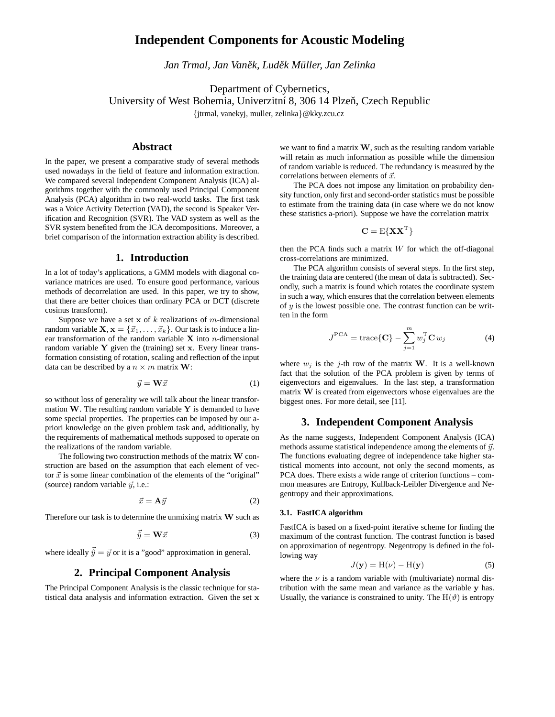# **Independent Components for Acoustic Modeling**

*Jan Trmal, Jan Vanek, ˇ Ludekˇ Muller ¨ , Jan Zelinka*

Department of Cybernetics,

University of West Bohemia, Univerzitní 8, 306 14 Plzeň, Czech Republic

{jtrmal, vanekyj, muller, zelinka}@kky.zcu.cz

# **Abstract**

In the paper, we present a comparative study of several methods used nowadays in the field of feature and information extraction. We compared several Independent Component Analysis (ICA) algorithms together with the commonly used Principal Component Analysis (PCA) algorithm in two real-world tasks. The first task was a Voice Activity Detection (VAD), the second is Speaker Verification and Recognition (SVR). The VAD system as well as the SVR system benefited from the ICA decompositions. Moreover, a brief comparison of the information extraction ability is described.

### **1. Introduction**

In a lot of today's applications, a GMM models with diagonal covariance matrices are used. To ensure good performance, various methods of decorrelation are used. In this paper, we try to show, that there are better choices than ordinary PCA or DCT (discrete cosinus transform).

Suppose we have a set  $x$  of k realizations of m-dimensional random variable  $\mathbf{X}, \mathbf{x} = \{\vec{x}_1, \dots, \vec{x}_k\}$ . Our task is to induce a linear transformation of the random variable  $X$  into *n*-dimensional random variable  $Y$  given the (training) set  $x$ . Every linear transformation consisting of rotation, scaling and reflection of the input data can be described by a  $n \times m$  matrix **W**:

$$
\vec{y} = \mathbf{W}\vec{x} \tag{1}
$$

so without loss of generality we will talk about the linear transformation  $W$ . The resulting random variable  $Y$  is demanded to have some special properties. The properties can be imposed by our apriori knowledge on the given problem task and, additionally, by the requirements of mathematical methods supposed to operate on the realizations of the random variable.

The following two construction methods of the matrix  $W$  construction are based on the assumption that each element of vector  $\vec{x}$  is some linear combination of the elements of the "original" (source) random variable  $\vec{y}$ , i.e.:

$$
\vec{x} = \mathbf{A}\vec{y} \tag{2}
$$

Therefore our task is to determine the unmixing matrix  $W$  such as

$$
\vec{\hat{y}} = \mathbf{W}\vec{x} \tag{3}
$$

where ideally  $\vec{y} = \vec{y}$  or it is a "good" approximation in general.

# **2. Principal Component Analysis**

The Principal Component Analysis is the classic technique for statistical data analysis and information extraction. Given the set x

we want to find a matrix  $W$ , such as the resulting random variable will retain as much information as possible while the dimension of random variable is reduced. The redundancy is measured by the correlations between elements of  $\vec{x}$ .

The PCA does not impose any limitation on probability density function, only first and second-order statistics must be possible to estimate from the training data (in case where we do not know these statistics a-priori). Suppose we have the correlation matrix

$$
\mathbf{C} = \mathrm{E}\{\mathbf{X}\mathbf{X}^{\mathrm{T}}\}
$$

then the PCA finds such a matrix  $W$  for which the off-diagonal cross-correlations are minimized.

The PCA algorithm consists of several steps. In the first step, the training data are centered (the mean of data is subtracted). Secondly, such a matrix is found which rotates the coordinate system in such a way, which ensures that the correlation between elements of  $y$  is the lowest possible one. The contrast function can be written in the form

$$
J^{\text{PCA}} = \text{trace}\{\mathbf{C}\} - \sum_{j=1}^{m} w_j^{\text{T}} \mathbf{C} w_j \tag{4}
$$

where  $w_j$  is the j-th row of the matrix **W**. It is a well-known fact that the solution of the PCA problem is given by terms of eigenvectors and eigenvalues. In the last step, a transformation matrix W is created from eigenvectors whose eigenvalues are the biggest ones. For more detail, see [11].

## **3. Independent Component Analysis**

As the name suggests, Independent Component Analysis (ICA) methods assume statistical independence among the elements of  $\vec{y}$ . The functions evaluating degree of independence take higher statistical moments into account, not only the second moments, as PCA does. There exists a wide range of criterion functions – common measures are Entropy, Kullback-Leibler Divergence and Negentropy and their approximations.

#### **3.1. FastICA algorithm**

FastICA is based on a fixed-point iterative scheme for finding the maximum of the contrast function. The contrast function is based on approximation of negentropy. Negentropy is defined in the following way

$$
J(\mathbf{y}) = H(\nu) - H(\mathbf{y})
$$
\n(5)

where the  $\nu$  is a random variable with (multivariate) normal distribution with the same mean and variance as the variable y has. Usually, the variance is constrained to unity. The  $H(\vartheta)$  is entropy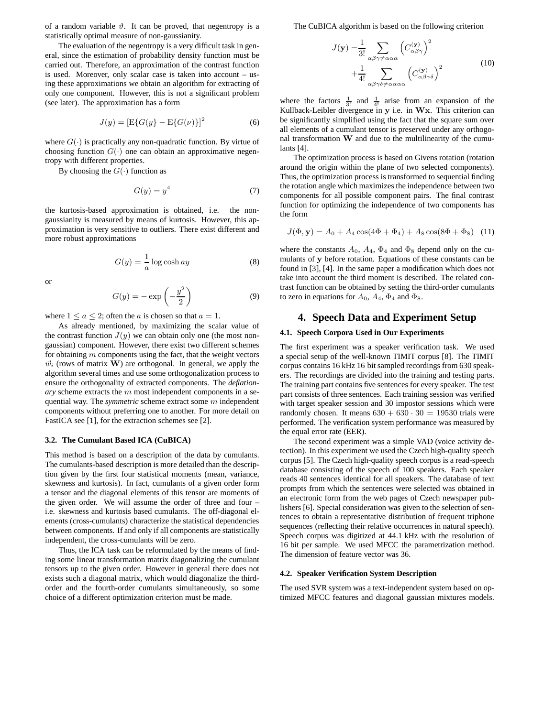of a random variable  $\vartheta$ . It can be proved, that negentropy is a statistically optimal measure of non-gaussianity.

The evaluation of the negentropy is a very difficult task in general, since the estimation of probability density function must be carried out. Therefore, an approximation of the contrast function is used. Moreover, only scalar case is taken into account – using these approximations we obtain an algorithm for extracting of only one component. However, this is not a significant problem (see later). The approximation has a form

$$
J(y) = [E\{G(y) - E\{G(\nu)\}]^2
$$
 (6)

where  $G(\cdot)$  is practically any non-quadratic function. By virtue of choosing function  $G(\cdot)$  one can obtain an approximative negentropy with different properties.

By choosing the  $G(\cdot)$  function as

$$
G(y) = y^4 \tag{7}
$$

the kurtosis-based approximation is obtained, i.e. the nongaussianity is measured by means of kurtosis. However, this approximation is very sensitive to outliers. There exist different and more robust approximations

$$
G(y) = \frac{1}{a} \log \cosh ay \tag{8}
$$

or

$$
G(y) = -\exp\left(-\frac{y^2}{2}\right) \tag{9}
$$

where  $1 \le a \le 2$ ; often the *a* is chosen so that  $a = 1$ .

As already mentioned, by maximizing the scalar value of the contrast function  $J(y)$  we can obtain only one (the most nongaussian) component. However, there exist two different schemes for obtaining  $m$  components using the fact, that the weight vectors  $\vec{w}_i$  (rows of matrix **W**) are orthogonal. In general, we apply the algorithm several times and use some orthogonalization process to ensure the orthogonality of extracted components. The *deflationary* scheme extracts the m most independent components in a sequential way. The *symmetric* scheme extract some m independent components without preferring one to another. For more detail on FastICA see [1], for the extraction schemes see [2].

#### **3.2. The Cumulant Based ICA (CuBICA)**

This method is based on a description of the data by cumulants. The cumulants-based description is more detailed than the description given by the first four statistical moments (mean, variance, skewness and kurtosis). In fact, cumulants of a given order form a tensor and the diagonal elements of this tensor are moments of the given order. We will assume the order of three and four – i.e. skewness and kurtosis based cumulants. The off-diagonal elements (cross-cumulants) characterize the statistical dependencies between components. If and only if all components are statistically independent, the cross-cumulants will be zero.

Thus, the ICA task can be reformulated by the means of finding some linear transformation matrix diagonalizing the cumulant tensors up to the given order. However in general there does not exists such a diagonal matrix, which would diagonalize the thirdorder and the fourth-order cumulants simultaneously, so some choice of a different optimization criterion must be made.

The CuBICA algorithm is based on the following criterion

$$
J(\mathbf{y}) = \frac{1}{3!} \sum_{\alpha\beta\gamma \neq \alpha\alpha\alpha} \left(C_{\alpha\beta\gamma}^{(\mathbf{y})}\right)^2 + \frac{1}{4!} \sum_{\alpha\beta\gamma\delta \neq \alpha\alpha\alpha\alpha} \left(C_{\alpha\beta\gamma\delta}^{(\mathbf{y})}\right)^2
$$
(10)

where the factors  $\frac{1}{3!}$  and  $\frac{1}{4!}$  arise from an expansion of the Kullback-Leibler divergence in y i.e. in Wx. This criterion can be significantly simplified using the fact that the square sum over all elements of a cumulant tensor is preserved under any orthogonal transformation  $W$  and due to the multilinearity of the cumulants [4].

The optimization process is based on Givens rotation (rotation around the origin within the plane of two selected components). Thus, the optimization process is transformed to sequential finding the rotation angle which maximizes the independence between two components for all possible component pairs. The final contrast function for optimizing the independence of two components has the form

$$
J(\Phi, \mathbf{y}) = A_0 + A_4 \cos(4\Phi + \Phi_4) + A_8 \cos(8\Phi + \Phi_8)
$$
 (11)

where the constants  $A_0$ ,  $A_4$ ,  $\Phi_4$  and  $\Phi_8$  depend only on the cumulants of y before rotation. Equations of these constants can be found in [3], [4]. In the same paper a modification which does not take into account the third moment is described. The related contrast function can be obtained by setting the third-order cumulants to zero in equations for  $A_0$ ,  $A_4$ ,  $\Phi_4$  and  $\Phi_8$ .

# **4. Speech Data and Experiment Setup**

### **4.1. Speech Corpora Used in Our Experiments**

The first experiment was a speaker verification task. We used a special setup of the well-known TIMIT corpus [8]. The TIMIT corpus contains 16 kHz 16 bit sampled recordings from 630 speakers. The recordings are divided into the training and testing parts. The training part contains five sentences for every speaker. The test part consists of three sentences. Each training session was verified with target speaker session and 30 impostor sessions which were randomly chosen. It means  $630 + 630 \cdot 30 = 19530$  trials were performed. The verification system performance was measured by the equal error rate (EER).

The second experiment was a simple VAD (voice activity detection). In this experiment we used the Czech high-quality speech corpus [5]. The Czech high-quality speech corpus is a read-speech database consisting of the speech of 100 speakers. Each speaker reads 40 sentences identical for all speakers. The database of text prompts from which the sentences were selected was obtained in an electronic form from the web pages of Czech newspaper publishers [6]. Special consideration was given to the selection of sentences to obtain a representative distribution of frequent triphone sequences (reflecting their relative occurrences in natural speech). Speech corpus was digitized at 44.1 kHz with the resolution of 16 bit per sample. We used MFCC the parametrization method. The dimension of feature vector was 36.

#### **4.2. Speaker Verification System Description**

The used SVR system was a text-independent system based on optimized MFCC features and diagonal gaussian mixtures models.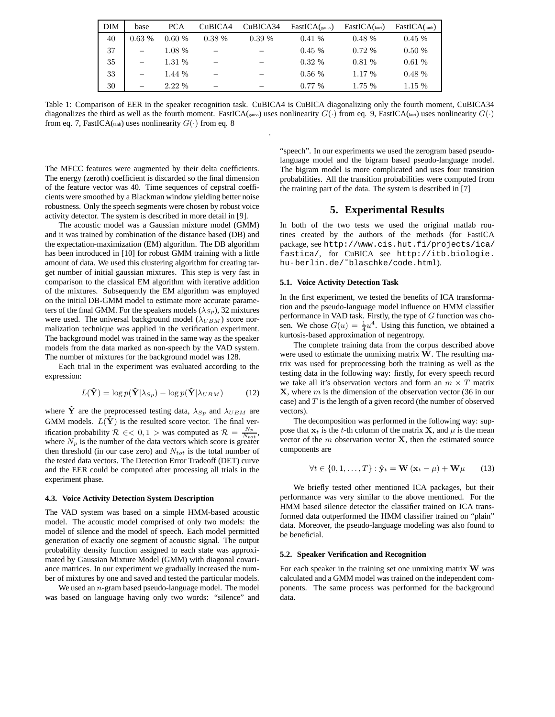| <b>DIM</b> | base  | <b>PCA</b> | CuBICA4  | CuBICA34 | FastICA( <sub>gauss</sub> ) | FastICA( <sub>kurt</sub> ) | $FastICA$ (tanh) |
|------------|-------|------------|----------|----------|-----------------------------|----------------------------|------------------|
| 40         | 0.63% | 0.60%      | $0.38\%$ | 0.39%    | 0.41%                       | 0.48%                      | 0.45%            |
| 37         |       | 1.08 %     |          |          | 0.45%                       | $0.72\%$                   | 0.50%            |
| 35         |       | 1.31 %     |          |          | $0.32\%$                    | 0.81%                      | 0.61%            |
| 33         |       | 1.44 %     |          |          | 0.56%                       | 1.17 %                     | 0.48%            |
| 30         |       | 2.22 %     |          |          | $0.77\%$                    | 1.75 %                     | 1.15 %           |

Table 1: Comparison of EER in the speaker recognition task. CuBICA4 is CuBICA diagonalizing only the fourth moment, CuBICA34 diagonalizes the third as well as the fourth moment. FastICA(gauss) uses nonlinearity  $G(\cdot)$  from eq. 9, FastICA(kurt) uses nonlinearity  $G(\cdot)$ from eq. 7, FastICA(tanh) uses nonlinearity  $G(\cdot)$  from eq. 8

.

The MFCC features were augmented by their delta coefficients. The energy (zeroth) coefficient is discarded so the final dimension of the feature vector was 40. Time sequences of cepstral coefficients were smoothed by a Blackman window yielding better noise robustness. Only the speech segments were chosen by robust voice activity detector. The system is described in more detail in [9].

The acoustic model was a Gaussian mixture model (GMM) and it was trained by combination of the distance based (DB) and the expectation-maximization (EM) algorithm. The DB algorithm has been introduced in [10] for robust GMM training with a little amount of data. We used this clustering algorithm for creating target number of initial gaussian mixtures. This step is very fast in comparison to the classical EM algorithm with iterative addition of the mixtures. Subsequently the EM algorithm was employed on the initial DB-GMM model to estimate more accurate parameters of the final GMM. For the speakers models ( $\lambda_{Sp}$ ), 32 mixtures were used. The universal background model  $(\lambda_{UBM})$  score normalization technique was applied in the verification experiment. The background model was trained in the same way as the speaker models from the data marked as non-speech by the VAD system. The number of mixtures for the background model was 128.

Each trial in the experiment was evaluated according to the expression:

$$
L(\hat{\mathbf{Y}}) = \log p(\hat{\mathbf{Y}}|\lambda_{Sp}) - \log p(\hat{\mathbf{Y}}|\lambda_{UBM})
$$
 (12)

where  $\hat{Y}$  are the preprocessed testing data,  $\lambda_{Sp}$  and  $\lambda_{UBM}$  are GMM models.  $L(\hat{Y})$  is the resulted score vector. The final verification probability  $\mathcal{R} \in \{0, 1\}$  was computed as  $\mathcal{R} = \frac{N_p}{N_{tot}}$ , where  $N_p$  is the number of the data vectors which score is greater then threshold (in our case zero) and  $N_{tot}$  is the total number of the tested data vectors. The Detection Error Tradeoff (DET) curve and the EER could be computed after processing all trials in the experiment phase.

### **4.3. Voice Activity Detection System Description**

The VAD system was based on a simple HMM-based acoustic model. The acoustic model comprised of only two models: the model of silence and the model of speech. Each model permitted generation of exactly one segment of acoustic signal. The output probability density function assigned to each state was approximated by Gaussian Mixture Model (GMM) with diagonal covariance matrices. In our experiment we gradually increased the number of mixtures by one and saved and tested the particular models.

We used an  $n$ -gram based pseudo-language model. The model was based on language having only two words: "silence" and

"speech". In our experiments we used the zerogram based pseudolanguage model and the bigram based pseudo-language model. The bigram model is more complicated and uses four transition probabilities. All the transition probabilities were computed from the training part of the data. The system is described in [7]

### **5. Experimental Results**

In both of the two tests we used the original matlab routines created by the authors of the methods (for FastICA package, see http://www.cis.hut.fi/projects/ica/ fastica/, for CuBICA see http://itb.biologie. hu-berlin.de/˜blaschke/code.html).

### **5.1. Voice Activity Detection Task**

In the first experiment, we tested the benefits of ICA transformation and the pseudo-language model influence on HMM classifier performance in VAD task. Firstly, the type of G function was chosen. We chose  $G(u) = \frac{1}{4}u^4$ . Using this function, we obtained a kurtosis-based approximation of negentropy.

The complete training data from the corpus described above were used to estimate the unmixing matrix W. The resulting matrix was used for preprocessing both the training as well as the testing data in the following way: firstly, for every speech record we take all it's observation vectors and form an  $m \times T$  matrix  $X$ , where m is the dimension of the observation vector (36 in our case) and  $T$  is the length of a given record (the number of observed vectors).

The decomposition was performed in the following way: suppose that  $x_t$  is the t-th column of the matrix **X**, and  $\mu$  is the mean vector of the  $m$  observation vector  $X$ , then the estimated source components are

$$
\forall t \in \{0, 1, \dots, T\} : \hat{\mathbf{y}}_t = \mathbf{W} \left( \mathbf{x}_t - \mu \right) + \mathbf{W} \mu \qquad (13)
$$

We briefly tested other mentioned ICA packages, but their performance was very similar to the above mentioned. For the HMM based silence detector the classifier trained on ICA transformed data outperformed the HMM classifier trained on "plain" data. Moreover, the pseudo-language modeling was also found to be beneficial.

#### **5.2. Speaker Verification and Recognition**

For each speaker in the training set one unmixing matrix  $W$  was calculated and a GMM model was trained on the independent components. The same process was performed for the background data.